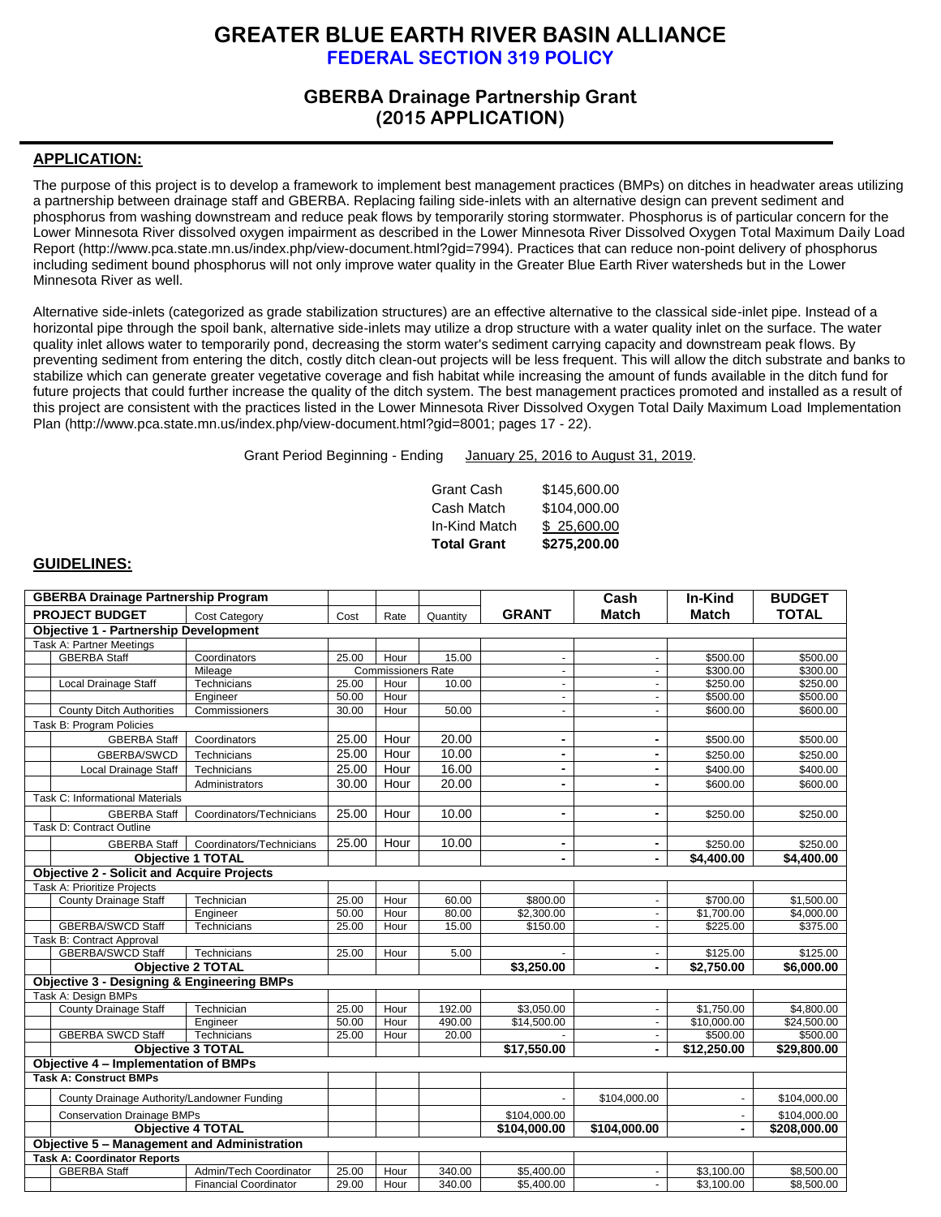# **GREATER BLUE EARTH RIVER BASIN ALLIANCE FEDERAL SECTION 319 POLICY**

## **GBERBA Drainage Partnership Grant (2015 APPLICATION)**

## **APPLICATION:**

The purpose of this project is to develop a framework to implement best management practices (BMPs) on ditches in headwater areas utilizing a partnership between drainage staff and GBERBA. Replacing failing side-inlets with an alternative design can prevent sediment and phosphorus from washing downstream and reduce peak flows by temporarily storing stormwater. Phosphorus is of particular concern for the Lower Minnesota River dissolved oxygen impairment as described in the Lower Minnesota River Dissolved Oxygen Total Maximum Daily Load Report [\(http://www.pca.state.mn.us/index.php/view-document.html?gid=7994\)](http://www.pca.state.mn.us/index.php/view-document.html?gid=7994). Practices that can reduce non-point delivery of phosphorus including sediment bound phosphorus will not only improve water quality in the Greater Blue Earth River watersheds but in the Lower Minnesota River as well.

Alternative side-inlets (categorized as grade stabilization structures) are an effective alternative to the classical side-inlet pipe. Instead of a horizontal pipe through the spoil bank, alternative side-inlets may utilize a drop structure with a water quality inlet on the surface. The water quality inlet allows water to temporarily pond, decreasing the storm water's sediment carrying capacity and downstream peak flows. By preventing sediment from entering the ditch, costly ditch clean-out projects will be less frequent. This will allow the ditch substrate and banks to stabilize which can generate greater vegetative coverage and fish habitat while increasing the amount of funds available in the ditch fund for future projects that could further increase the quality of the ditch system. The best management practices promoted and installed as a result of this project are consistent with the practices listed in the Lower Minnesota River Dissolved Oxygen Total Daily Maximum Load Implementation Plan [\(http://www.pca.state.mn.us/index.php/view-document.html?gid=8001;](http://www.pca.state.mn.us/index.php/view-document.html?gid=8001) pages 17 - 22).

Grant Period Beginning - Ending January 25, 2016 to August 31, 2019.

Grant Cash \$145,600.00 Cash Match \$104,000.00 In-Kind Match \$ 25,600.00 **Total Grant \$275,200.00**

### **GUIDELINES:**

| <b>GBERBA Drainage Partnership Program</b>            |                                                   |                              |       |                           |              |                          | Cash                     | In-Kind           | <b>BUDGET</b> |
|-------------------------------------------------------|---------------------------------------------------|------------------------------|-------|---------------------------|--------------|--------------------------|--------------------------|-------------------|---------------|
|                                                       | <b>PROJECT BUDGET</b>                             | <b>Cost Category</b>         | Cost  | Rate                      | Quantity     | <b>GRANT</b>             | <b>Match</b>             | <b>Match</b>      | <b>TOTAL</b>  |
|                                                       | <b>Objective 1 - Partnership Development</b>      |                              |       |                           |              |                          |                          |                   |               |
|                                                       | Task A: Partner Meetings                          |                              |       |                           |              |                          |                          |                   |               |
|                                                       | <b>GBERBA Staff</b>                               | Coordinators                 | 25.00 | Hour                      | 15.00        | $\blacksquare$           | $\blacksquare$           | \$500.00          | \$500.00      |
|                                                       |                                                   | Mileage                      |       | <b>Commissioners Rate</b> |              | $\blacksquare$           | $\blacksquare$           | \$300.00          | \$300.00      |
|                                                       | <b>Local Drainage Staff</b>                       | Technicians                  | 25.00 | Hour                      | 10.00        | $\blacksquare$           | $\blacksquare$           | \$250.00          | \$250.00      |
|                                                       |                                                   | Engineer                     | 50.00 | Hour                      |              | $\blacksquare$           | $\blacksquare$           | \$500.00          | \$500.00      |
|                                                       | <b>County Ditch Authorities</b>                   | Commissioners                | 30.00 | Hour                      | 50.00        | $\omega$                 | $\blacksquare$           | \$600.00          | \$600.00      |
|                                                       | Task B: Program Policies                          |                              |       |                           |              |                          |                          |                   |               |
|                                                       | <b>GBERBA Staff</b>                               | Coordinators                 | 25.00 | Hour                      | 20.00        | $\overline{\phantom{a}}$ | $\overline{\phantom{a}}$ | \$500.00          | \$500.00      |
|                                                       | GBERBA/SWCD                                       | Technicians                  | 25.00 | Hour                      | 10.00        | $\blacksquare$           | $\blacksquare$           | \$250.00          | \$250.00      |
|                                                       | Local Drainage Staff                              | Technicians                  | 25.00 | Hour                      | 16.00        | $\blacksquare$           | ۰                        | \$400.00          | \$400.00      |
|                                                       |                                                   | Administrators               | 30.00 | Hour                      | 20.00        | $\blacksquare$           | $\overline{\phantom{a}}$ | \$600.00          | \$600.00      |
|                                                       | Task C: Informational Materials                   |                              |       |                           |              |                          |                          |                   |               |
|                                                       | <b>GBERBA Staff</b>                               | Coordinators/Technicians     | 25.00 | Hour                      | 10.00        | $\blacksquare$           | $\blacksquare$           | \$250.00          | \$250.00      |
|                                                       | Task D: Contract Outline                          |                              |       |                           |              |                          |                          |                   |               |
|                                                       | <b>GBERBA Staff</b>                               | Coordinators/Technicians     | 25.00 | Hour                      | 10.00        | $\blacksquare$           | $\blacksquare$           | \$250.00          | \$250.00      |
|                                                       |                                                   | <b>Objective 1 TOTAL</b>     |       |                           |              |                          | $\overline{\phantom{0}}$ | $\sqrt{4,400.00}$ | \$4.400.00    |
|                                                       | <b>Objective 2 - Solicit and Acquire Projects</b> |                              |       |                           |              |                          |                          |                   |               |
|                                                       | Task A: Prioritize Projects                       |                              |       |                           |              |                          |                          |                   |               |
|                                                       | County Drainage Staff                             | Technician                   | 25.00 | Hour                      | 60.00        | \$800.00                 | ä,                       | \$700.00          | \$1,500.00    |
|                                                       |                                                   | Engineer                     | 50.00 | Hour                      | 80.00        | \$2,300.00               | $\omega$                 | \$1,700.00        | \$4,000.00    |
|                                                       | <b>GBERBA/SWCD Staff</b>                          | Technicians                  | 25.00 | Hour                      | 15.00        | \$150.00                 | $\overline{a}$           | \$225.00          | \$375.00      |
| Task B: Contract Approval                             |                                                   |                              |       |                           |              |                          |                          |                   |               |
|                                                       | <b>GBERBA/SWCD Staff</b>                          | Technicians                  | 25.00 | Hour                      | 5.00         |                          | $\blacksquare$           | \$125.00          | \$125.00      |
|                                                       |                                                   | <b>Objective 2 TOTAL</b>     |       |                           |              | \$3.250.00               | $\overline{\phantom{a}}$ | \$2,750.00        | \$6,000.00    |
| <b>Objective 3 - Designing &amp; Engineering BMPs</b> |                                                   |                              |       |                           |              |                          |                          |                   |               |
|                                                       | Task A: Design BMPs                               |                              |       |                           |              |                          |                          |                   |               |
|                                                       | <b>County Drainage Staff</b>                      | Technician                   | 25.00 | Hour                      | 192.00       | \$3,050.00               | $\blacksquare$           | \$1,750.00        | \$4,800.00    |
|                                                       |                                                   | Engineer                     | 50.00 | Hour                      | 490.00       | \$14,500.00              | $\blacksquare$           | \$10,000.00       | \$24,500.00   |
|                                                       | <b>GBERBA SWCD Staff</b>                          | Technicians                  | 25.00 | Hour                      | 20.00        |                          | $\blacksquare$           | \$500.00          | \$500.00      |
|                                                       |                                                   | <b>Objective 3 TOTAL</b>     |       |                           |              | \$17.550.00              | $\overline{\phantom{a}}$ | \$12,250.00       | \$29,800.00   |
| Objective 4 - Implementation of BMPs                  |                                                   |                              |       |                           |              |                          |                          |                   |               |
|                                                       | <b>Task A: Construct BMPs</b>                     |                              |       |                           |              |                          |                          |                   |               |
|                                                       | County Drainage Authority/Landowner Funding       |                              |       |                           |              |                          | \$104,000.00             |                   | \$104,000.00  |
|                                                       | <b>Conservation Drainage BMPs</b>                 |                              |       |                           |              | \$104.000.00             |                          |                   | \$104.000.00  |
| <b>Objective 4 TOTAL</b>                              |                                                   |                              |       |                           | \$104.000.00 | \$104.000.00             |                          | \$208.000.00      |               |
| <b>Objective 5 - Management and Administration</b>    |                                                   |                              |       |                           |              |                          |                          |                   |               |
|                                                       | <b>Task A: Coordinator Reports</b>                |                              |       |                           |              |                          |                          |                   |               |
|                                                       | <b>GBERBA Staff</b>                               | Admin/Tech Coordinator       | 25.00 | Hour                      | 340.00       | \$5,400.00               |                          | \$3,100.00        | \$8,500.00    |
|                                                       |                                                   | <b>Financial Coordinator</b> | 29.00 | Hour                      | 340.00       | \$5,400.00               | ÷.                       | \$3,100.00        | \$8,500.00    |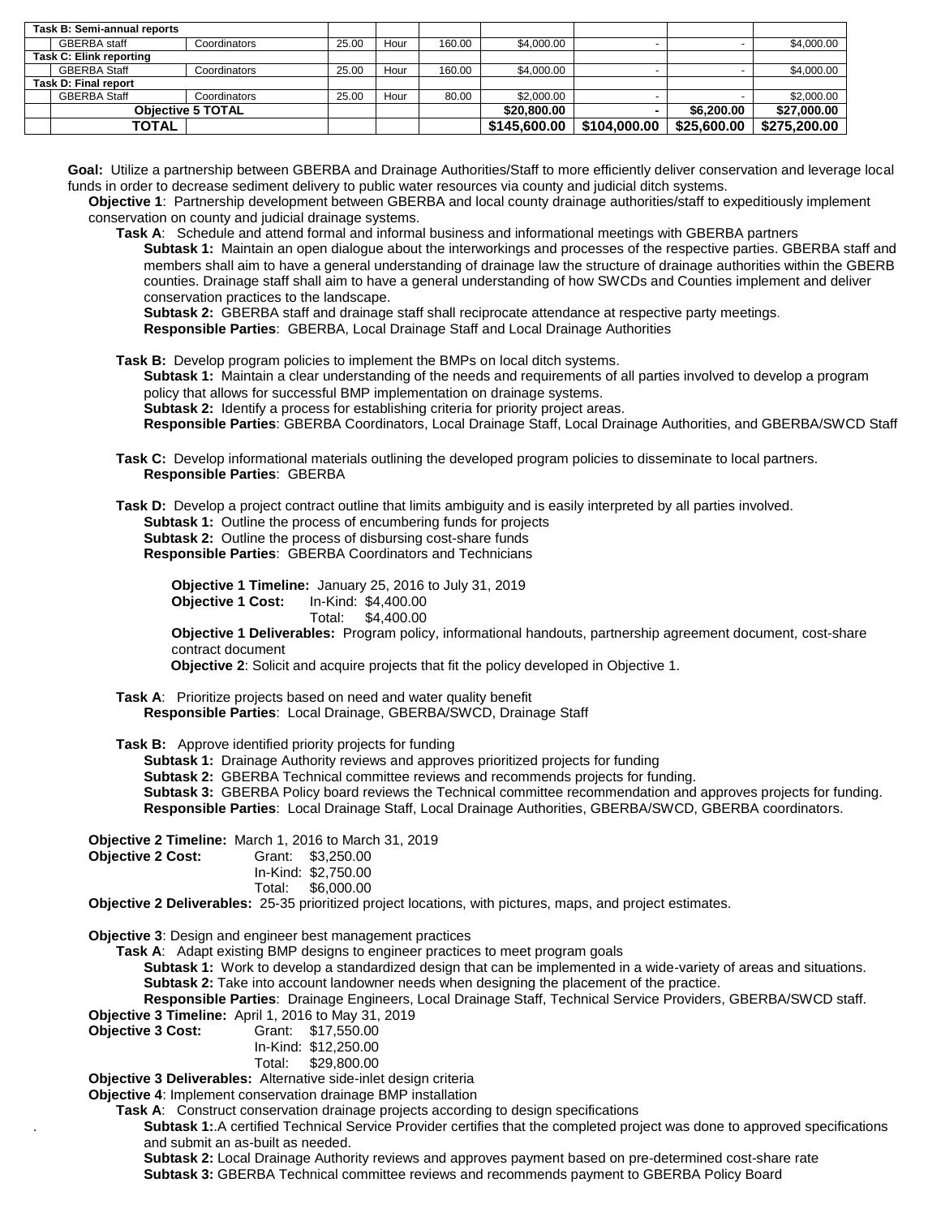|                             | Task B: Semi-annual reports |              |       |      |        |              |              |             |              |
|-----------------------------|-----------------------------|--------------|-------|------|--------|--------------|--------------|-------------|--------------|
|                             | <b>GBERBA</b> staff         | Coordinators | 25.00 | Hour | 160.00 | \$4.000.00   |              |             | \$4,000.00   |
| Task C: Elink reporting     |                             |              |       |      |        |              |              |             |              |
|                             | <b>GBERBA Staff</b>         | Coordinators | 25.00 | Hour | 160.00 | \$4.000.00   |              |             | \$4,000.00   |
| <b>Task D: Final report</b> |                             |              |       |      |        |              |              |             |              |
|                             | <b>GBERBA Staff</b>         | Coordinators | 25.00 | Hour | 80.00  | \$2,000.00   |              |             | \$2,000.00   |
|                             | <b>Objective 5 TOTAL</b>    |              |       |      |        | \$20,800,00  | -            | \$6,200,00  | \$27,000.00  |
|                             | <b>TOTAL</b>                |              |       |      |        | \$145,600,00 | \$104.000.00 | \$25,600,00 | \$275,200.00 |

**Goal:** Utilize a partnership between GBERBA and Drainage Authorities/Staff to more efficiently deliver conservation and leverage local funds in order to decrease sediment delivery to public water resources via county and judicial ditch systems.

**Objective 1**: Partnership development between GBERBA and local county drainage authorities/staff to expeditiously implement conservation on county and judicial drainage systems.

**Task A**: Schedule and attend formal and informal business and informational meetings with GBERBA partners **Subtask 1:** Maintain an open dialogue about the interworkings and processes of the respective parties. GBERBA staff and members shall aim to have a general understanding of drainage law the structure of drainage authorities within the GBERB counties. Drainage staff shall aim to have a general understanding of how SWCDs and Counties implement and deliver conservation practices to the landscape.

**Subtask 2:** GBERBA staff and drainage staff shall reciprocate attendance at respective party meetings*.* **Responsible Parties**: GBERBA, Local Drainage Staff and Local Drainage Authorities

**Task B:** Develop program policies to implement the BMPs on local ditch systems.

**Subtask 1:** Maintain a clear understanding of the needs and requirements of all parties involved to develop a program policy that allows for successful BMP implementation on drainage systems.

**Subtask 2:** Identify a process for establishing criteria for priority project areas.

**Responsible Parties**: GBERBA Coordinators, Local Drainage Staff, Local Drainage Authorities, and GBERBA/SWCD Staff

**Task C:** Develop informational materials outlining the developed program policies to disseminate to local partners. **Responsible Parties**: GBERBA

**Task D:** Develop a project contract outline that limits ambiguity and is easily interpreted by all parties involved. **Subtask 1:** Outline the process of encumbering funds for projects **Subtask 2:** Outline the process of disbursing cost-share funds **Responsible Parties**: GBERBA Coordinators and Technicians

**Objective 1 Timeline:** January 25, 2016 to July 31, 2019 **Objective 1 Cost:** In-Kind: \$4,400.00 Total: \$4,400.00

**Objective 1 Deliverables:** Program policy, informational handouts, partnership agreement document*,* cost-share contract document

 **Objective 2**: Solicit and acquire projects that fit the policy developed in Objective 1.

**Task A**: Prioritize projects based on need and water quality benefit **Responsible Parties**: Local Drainage, GBERBA/SWCD, Drainage Staff

**Task B:** Approve identified priority projects for funding

**Subtask 1:** Drainage Authority reviews and approves prioritized projects for funding **Subtask 2:** GBERBA Technical committee reviews and recommends projects for funding. **Subtask 3:** GBERBA Policy board reviews the Technical committee recommendation and approves projects for funding. **Responsible Parties**: Local Drainage Staff, Local Drainage Authorities, GBERBA/SWCD, GBERBA coordinators.

**Objective 2 Timeline:** March 1, 2016 to March 31, 2019

**Objective 2 Cost:** 

| Grant: | \$3,250.00        |
|--------|-------------------|
|        | $1.12.1$ $0.75.0$ |

|        | In-Kind: \$2,750.00 |
|--------|---------------------|
| T.1.1. | na aga ag           |

Total: \$6,000.00

**Objective 2 Deliverables:** 25-35 prioritized project locations, with pictures, maps, and project estimates.

**Objective 3**: Design and engineer best management practices

**Task A**: Adapt existing BMP designs to engineer practices to meet program goals

**Subtask 1:** Work to develop a standardized design that can be implemented in a wide-variety of areas and situations. **Subtask 2:** Take into account landowner needs when designing the placement of the practice.

**Responsible Parties**: Drainage Engineers, Local Drainage Staff, Technical Service Providers, GBERBA/SWCD staff. **Objective 3 Timeline:** April 1, 2016 to May 31, 2019<br>**Objective 3 Cost:** Grant: \$17,550.00

**Objective 3 Cost:** Grant: \$17,550.00

In-Kind: \$12,250.00<br>Total: \$29.800.00

\$29,800.00

**Objective 3 Deliverables:** Alternative side-inlet design criteria

**Objective 4**: Implement conservation drainage BMP installation

**Task A**: Construct conservation drainage projects according to design specifications

. **Subtask 1:**.A certified Technical Service Provider certifies that the completed project was done to approved specifications and submit an as-built as needed.

**Subtask 2:** Local Drainage Authority reviews and approves payment based on pre-determined cost-share rate **Subtask 3:** GBERBA Technical committee reviews and recommends payment to GBERBA Policy Board